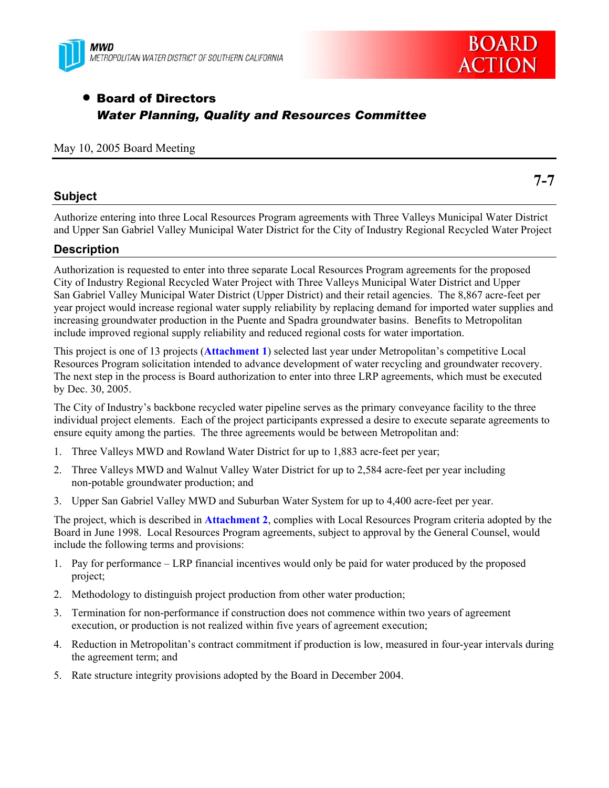



**7-7** 

# • Board of Directors *Water Planning, Quality and Resources Committee*

### May 10, 2005 Board Meeting

### **Subject**

Authorize entering into three Local Resources Program agreements with Three Valleys Municipal Water District and Upper San Gabriel Valley Municipal Water District for the City of Industry Regional Recycled Water Project

### **Description**

Authorization is requested to enter into three separate Local Resources Program agreements for the proposed City of Industry Regional Recycled Water Project with Three Valleys Municipal Water District and Upper San Gabriel Valley Municipal Water District (Upper District) and their retail agencies. The 8,867 acre-feet per year project would increase regional water supply reliability by replacing demand for imported water supplies and increasing groundwater production in the Puente and Spadra groundwater basins. Benefits to Metropolitan include improved regional supply reliability and reduced regional costs for water importation.

This project is one of 13 projects (**Attachment 1**) selected last year under Metropolitan's competitive Local Resources Program solicitation intended to advance development of water recycling and groundwater recovery. The next step in the process is Board authorization to enter into three LRP agreements, which must be executed by Dec. 30, 2005.

The City of Industry's backbone recycled water pipeline serves as the primary conveyance facility to the three individual project elements. Each of the project participants expressed a desire to execute separate agreements to ensure equity among the parties. The three agreements would be between Metropolitan and:

- 1. Three Valleys MWD and Rowland Water District for up to 1,883 acre-feet per year;
- 2. Three Valleys MWD and Walnut Valley Water District for up to 2,584 acre-feet per year including non-potable groundwater production; and
- 3. Upper San Gabriel Valley MWD and Suburban Water System for up to 4,400 acre-feet per year.

The project, which is described in **Attachment 2**, complies with Local Resources Program criteria adopted by the Board in June 1998. Local Resources Program agreements, subject to approval by the General Counsel, would include the following terms and provisions:

- 1. Pay for performance LRP financial incentives would only be paid for water produced by the proposed project;
- 2. Methodology to distinguish project production from other water production;
- 3. Termination for non-performance if construction does not commence within two years of agreement execution, or production is not realized within five years of agreement execution;
- 4. Reduction in Metropolitan's contract commitment if production is low, measured in four-year intervals during the agreement term; and
- 5. Rate structure integrity provisions adopted by the Board in December 2004.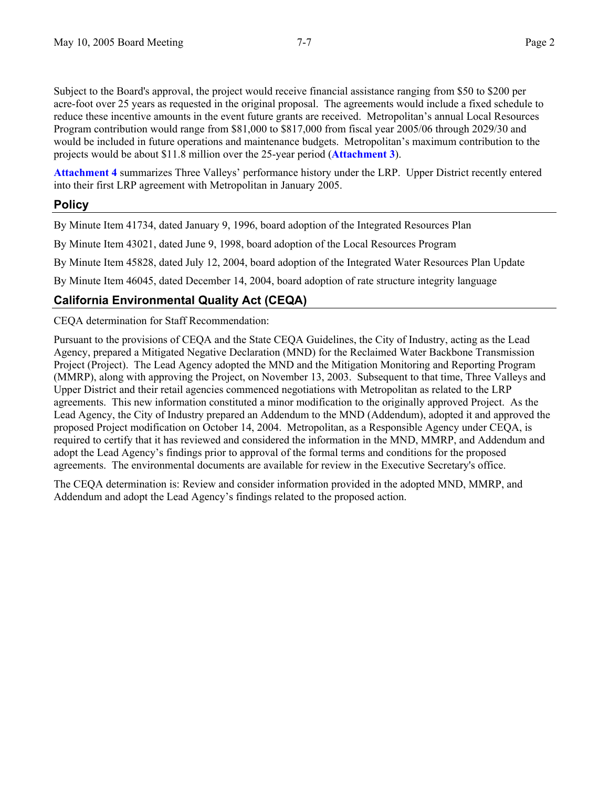Subject to the Board's approval, the project would receive financial assistance ranging from \$50 to \$200 per acre-foot over 25 years as requested in the original proposal. The agreements would include a fixed schedule to reduce these incentive amounts in the event future grants are received. Metropolitan's annual Local Resources Program contribution would range from \$81,000 to \$817,000 from fiscal year 2005/06 through 2029/30 and would be included in future operations and maintenance budgets. Metropolitan's maximum contribution to the projects would be about \$11.8 million over the 25-year period (**Attachment 3**).

**Attachment 4** summarizes Three Valleys' performance history under the LRP. Upper District recently entered into their first LRP agreement with Metropolitan in January 2005.

### **Policy**

By Minute Item 41734, dated January 9, 1996, board adoption of the Integrated Resources Plan

By Minute Item 43021, dated June 9, 1998, board adoption of the Local Resources Program

By Minute Item 45828, dated July 12, 2004, board adoption of the Integrated Water Resources Plan Update

By Minute Item 46045, dated December 14, 2004, board adoption of rate structure integrity language

### **California Environmental Quality Act (CEQA)**

CEQA determination for Staff Recommendation:

Pursuant to the provisions of CEQA and the State CEQA Guidelines, the City of Industry, acting as the Lead Agency, prepared a Mitigated Negative Declaration (MND) for the Reclaimed Water Backbone Transmission Project (Project). The Lead Agency adopted the MND and the Mitigation Monitoring and Reporting Program (MMRP), along with approving the Project, on November 13, 2003. Subsequent to that time, Three Valleys and Upper District and their retail agencies commenced negotiations with Metropolitan as related to the LRP agreements. This new information constituted a minor modification to the originally approved Project. As the Lead Agency, the City of Industry prepared an Addendum to the MND (Addendum), adopted it and approved the proposed Project modification on October 14, 2004. Metropolitan, as a Responsible Agency under CEQA, is required to certify that it has reviewed and considered the information in the MND, MMRP, and Addendum and adopt the Lead Agency's findings prior to approval of the formal terms and conditions for the proposed agreements. The environmental documents are available for review in the Executive Secretary's office.

The CEQA determination is: Review and consider information provided in the adopted MND, MMRP, and Addendum and adopt the Lead Agency's findings related to the proposed action.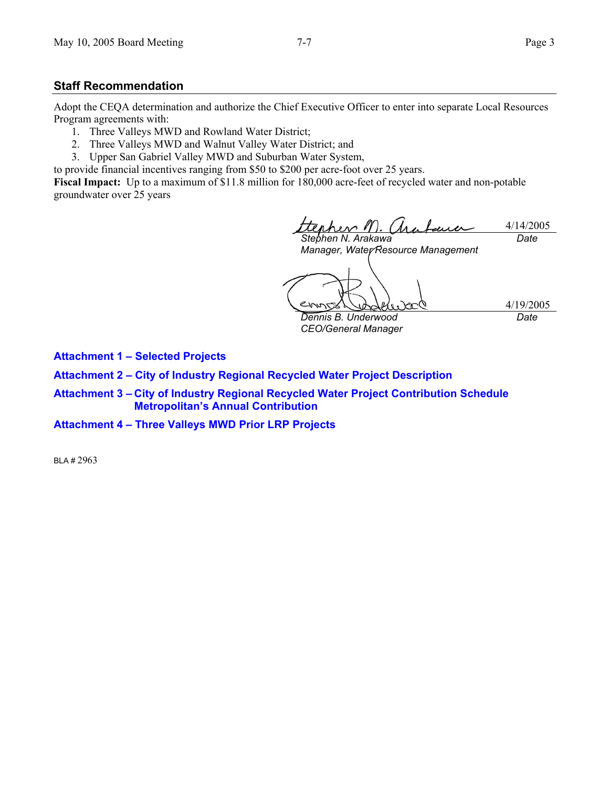### **Staff Recommendation**

Adopt the CEQA determination and authorize the Chief Executive Officer to enter into separate Local Resources Program agreements with:

- 1. Three Valleys MWD and Rowland Water District;
- 2. Three Valleys MWD and Walnut Valley Water District; and
- 3. Upper San Gabriel Valley MWD and Suburban Water System,

to provide financial incentives ranging from \$50 to \$200 per acre-foot over 25 years.

**Fiscal Impact:** Up to a maximum of \$11.8 million for 180,000 acre-feet of recycled water and non-potable groundwater over 25 years

rher 11)  $\Lambda$ ra 4/14/2005 *Date* 

*Stephen N. Arakawa Manager, Water Resource Management* 

*Dennis B. Underwood* 

*CEO/General Manager* 

4/19/2005 *Date* 

**Attachment 1 – Selected Projects** 

**Attachment 2 – City of Industry Regional Recycled Water Project Description** 

- **Attachment 3 City of Industry Regional Recycled Water Project Contribution Schedule Metropolitan's Annual Contribution**
- **Attachment 4 Three Valleys MWD Prior LRP Projects**

BLA # 2963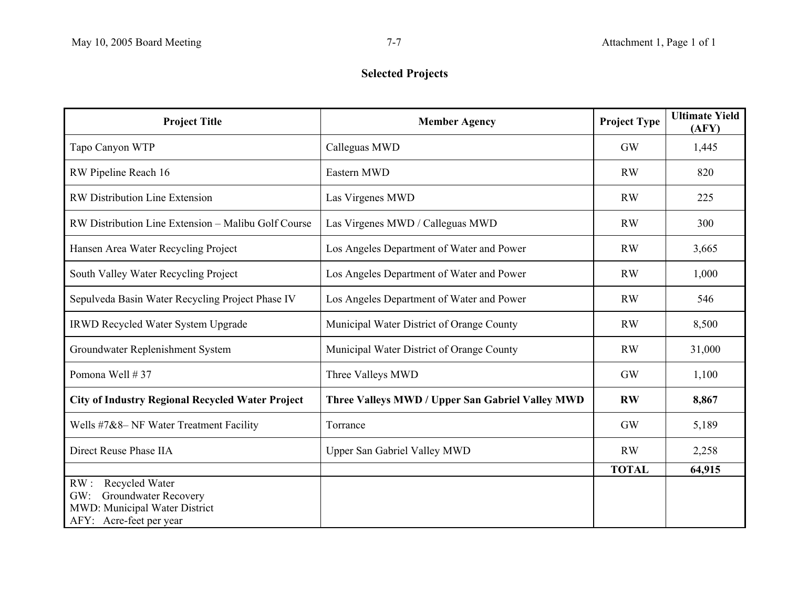# **Selected Projects**

| <b>Project Title</b>                                    | <b>Member Agency</b>                             | <b>Project Type</b> | <b>Ultimate Yield</b><br>(AFY) |
|---------------------------------------------------------|--------------------------------------------------|---------------------|--------------------------------|
| Tapo Canyon WTP                                         | Calleguas MWD                                    | <b>GW</b>           | 1,445                          |
| RW Pipeline Reach 16                                    | Eastern MWD                                      | <b>RW</b>           | 820                            |
| <b>RW Distribution Line Extension</b>                   | Las Virgenes MWD                                 | <b>RW</b>           | 225                            |
| RW Distribution Line Extension - Malibu Golf Course     | Las Virgenes MWD / Calleguas MWD                 | <b>RW</b>           | 300                            |
| Hansen Area Water Recycling Project                     | Los Angeles Department of Water and Power        | <b>RW</b>           | 3,665                          |
| South Valley Water Recycling Project                    | Los Angeles Department of Water and Power        | <b>RW</b>           | 1,000                          |
| Sepulveda Basin Water Recycling Project Phase IV        | Los Angeles Department of Water and Power        | <b>RW</b>           | 546                            |
| <b>IRWD Recycled Water System Upgrade</b>               | Municipal Water District of Orange County        | <b>RW</b>           | 8,500                          |
| Groundwater Replenishment System                        | Municipal Water District of Orange County        | <b>RW</b>           | 31,000                         |
| Pomona Well #37                                         | Three Valleys MWD                                | <b>GW</b>           | 1,100                          |
| <b>City of Industry Regional Recycled Water Project</b> | Three Valleys MWD / Upper San Gabriel Valley MWD | <b>RW</b>           | 8,867                          |
| Wells #7&8- NF Water Treatment Facility                 | Torrance                                         | GW                  | 5,189                          |
| Direct Reuse Phase IIA                                  | <b>Upper San Gabriel Valley MWD</b>              | <b>RW</b>           | 2,258                          |
|                                                         |                                                  | <b>TOTAL</b>        | 64,915                         |
| RW:<br>Recycled Water                                   |                                                  |                     |                                |
| Groundwater Recovery<br>GW:                             |                                                  |                     |                                |
| MWD: Municipal Water District                           |                                                  |                     |                                |
| AFY: Acre-feet per year                                 |                                                  |                     |                                |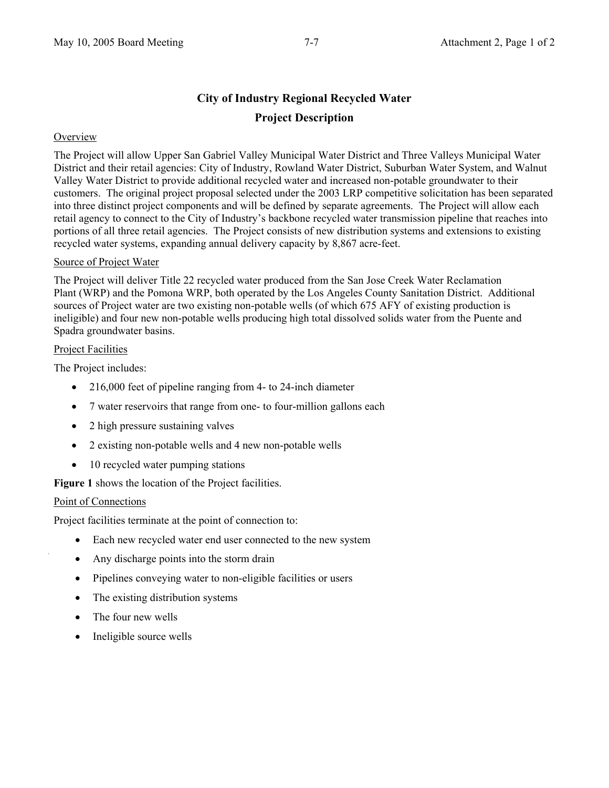## **City of Industry Regional Recycled Water Project Description**

### **Overview**

The Project will allow Upper San Gabriel Valley Municipal Water District and Three Valleys Municipal Water District and their retail agencies: City of Industry, Rowland Water District, Suburban Water System, and Walnut Valley Water District to provide additional recycled water and increased non-potable groundwater to their customers. The original project proposal selected under the 2003 LRP competitive solicitation has been separated into three distinct project components and will be defined by separate agreements. The Project will allow each retail agency to connect to the City of Industry's backbone recycled water transmission pipeline that reaches into portions of all three retail agencies. The Project consists of new distribution systems and extensions to existing recycled water systems, expanding annual delivery capacity by 8,867 acre-feet.

### Source of Project Water

The Project will deliver Title 22 recycled water produced from the San Jose Creek Water Reclamation Plant (WRP) and the Pomona WRP, both operated by the Los Angeles County Sanitation District. Additional sources of Project water are two existing non-potable wells (of which 675 AFY of existing production is ineligible) and four new non-potable wells producing high total dissolved solids water from the Puente and Spadra groundwater basins.

### Project Facilities

The Project includes:

- 216,000 feet of pipeline ranging from 4- to 24-inch diameter
- 7 water reservoirs that range from one- to four-million gallons each
- 2 high pressure sustaining valves
- 2 existing non-potable wells and 4 new non-potable wells
- 10 recycled water pumping stations

**Figure 1** shows the location of the Project facilities.

### Point of Connections

Project facilities terminate at the point of connection to:

- Each new recycled water end user connected to the new system
- Any discharge points into the storm drain
- Pipelines conveying water to non-eligible facilities or users
- The existing distribution systems
- The four new wells
- Ineligible source wells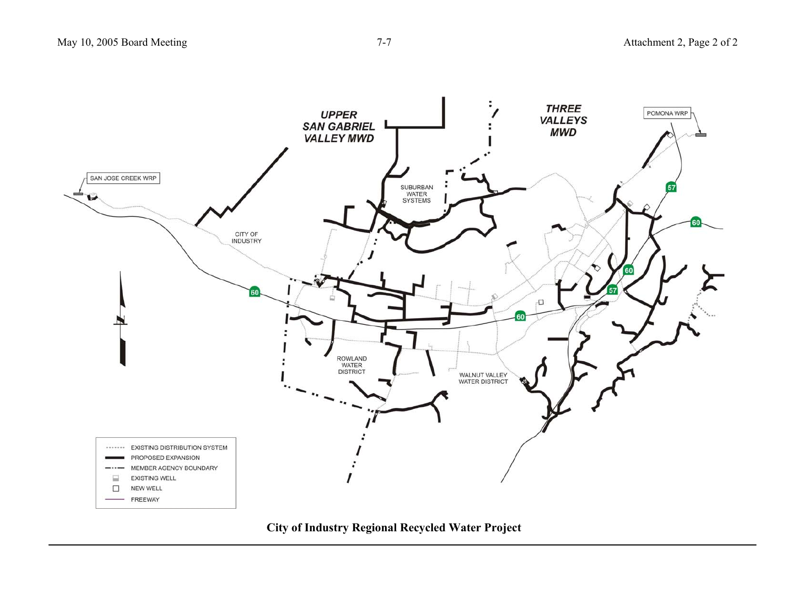

**City of Industry Regional Recycled Water Project**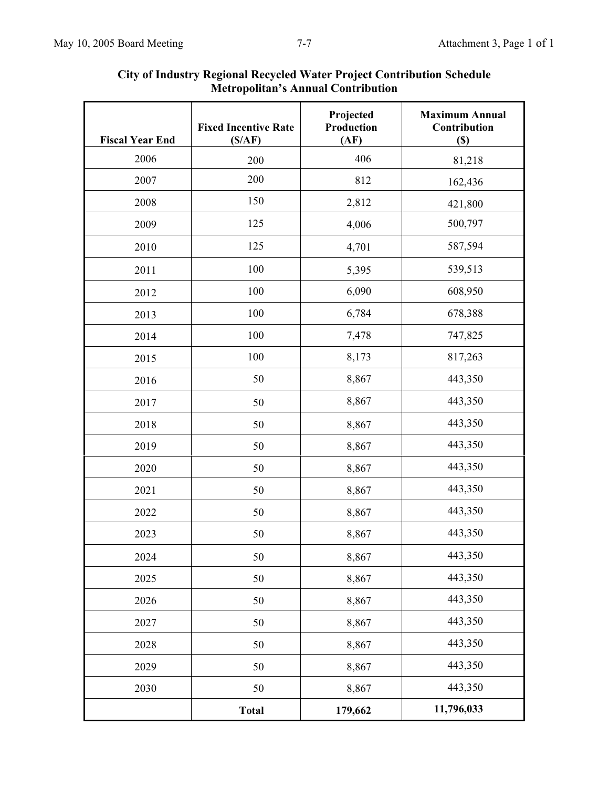| <b>Fiscal Year End</b> | <b>Fixed Incentive Rate</b><br>(S/AF) | Projected<br>Production<br>(AF) | <b>Maximum Annual</b><br>Contribution<br>$(\$)$ |  |
|------------------------|---------------------------------------|---------------------------------|-------------------------------------------------|--|
| 2006                   | 200                                   | 406                             | 81,218                                          |  |
| 2007                   | 200                                   | 812                             | 162,436                                         |  |
| 2008                   | 150                                   | 2,812                           | 421,800                                         |  |
| 2009                   | 125                                   | 4,006                           | 500,797                                         |  |
| 2010                   | 125                                   | 4,701                           | 587,594                                         |  |
| 2011                   | 100                                   | 5,395                           | 539,513                                         |  |
| 2012                   | 100                                   | 6,090                           | 608,950                                         |  |
| 2013                   | 100                                   | 6,784                           | 678,388                                         |  |
| 2014                   | 100                                   | 7,478                           | 747,825                                         |  |
| 2015                   | 100                                   | 8,173                           | 817,263                                         |  |
| 2016                   | 50                                    | 8,867                           | 443,350                                         |  |
| 2017                   | 50                                    | 8,867                           | 443,350                                         |  |
| 2018                   | 50                                    | 8,867                           | 443,350                                         |  |
| 2019                   | 50                                    | 8,867                           | 443,350                                         |  |
| 2020                   | 50                                    | 8,867                           | 443,350                                         |  |
| 2021                   | 50                                    | 8,867                           | 443,350                                         |  |
| 2022                   | 50                                    | 8,867                           | 443,350                                         |  |
| 2023                   | 50                                    | 8,867                           | 443,350                                         |  |
|                        |                                       |                                 |                                                 |  |
| 2024                   | 50                                    | 8,867                           | 443,350                                         |  |
| 2025                   | 50                                    | 8,867                           | 443,350                                         |  |
| 2026                   | 50                                    | 8,867                           | 443,350                                         |  |
| 2027                   | 50                                    | 8,867                           | 443,350                                         |  |
| 2028                   | 50                                    | 8,867                           | 443,350                                         |  |
| 2029                   | 50                                    | 8,867                           | 443,350                                         |  |
| 2030                   | 50                                    | 8,867                           | 443,350                                         |  |
|                        | <b>Total</b>                          | 179,662                         | 11,796,033                                      |  |

### **City of Industry Regional Recycled Water Project Contribution Schedule Metropolitan's Annual Contribution**